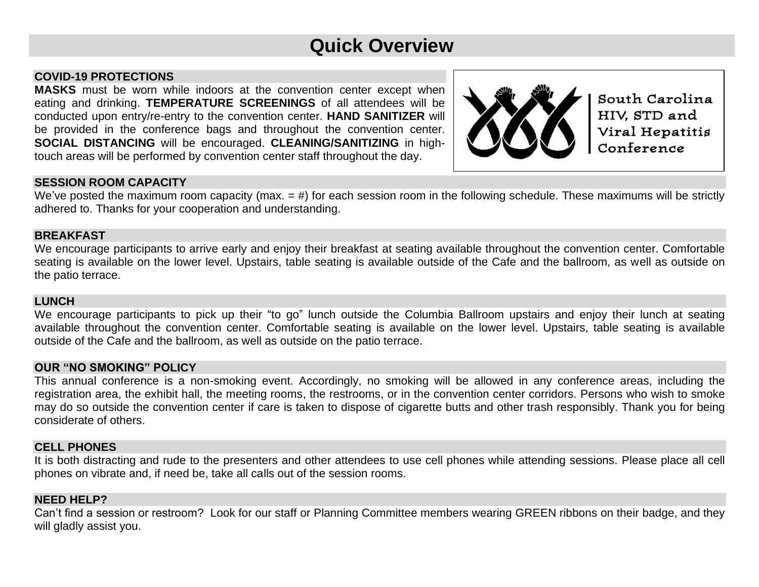# **Quick Overview**

# **COVID-19 PROTECTIONS**

**MASKS** must be worn while indoors at the convention center except when eating and drinking. **TEMPERATURE SCREENINGS** of all attendees will be conducted upon entry/re-entry to the convention center. **HAND SANITIZER** will be provided in the conference bags and throughout the convention center. **SOCIAL DISTANCING** will be encouraged. **CLEANING/SANITIZING** in hightouch areas will be performed by convention center staff throughout the day.



South Carolina HIV. STD and Viral Hepatitis Conference

# **SESSION ROOM CAPACITY**

We've posted the maximum room capacity (max.  $=$  #) for each session room in the following schedule. These maximums will be strictly adhered to. Thanks for your cooperation and understanding.

#### **BREAKFAST**

We encourage participants to arrive early and enjoy their breakfast at seating available throughout the convention center. Comfortable seating is available on the lower level. Upstairs, table seating is available outside of the Cafe and the ballroom, as well as outside on the patio terrace.

#### **LUNCH**

We encourage participants to pick up their "to go" lunch outside the Columbia Ballroom upstairs and enjoy their lunch at seating available throughout the convention center. Comfortable seating is available on the lower level. Upstairs, table seating is available outside of the Cafe and the ballroom, as well as outside on the patio terrace.

# **OUR "NO SMOKING" POLICY**

This annual conference is a non-smoking event. Accordingly, no smoking will be allowed in any conference areas, including the registration area, the exhibit hall, the meeting rooms, the restrooms, or in the convention center corridors. Persons who wish to smoke may do so outside the convention center if care is taken to dispose of cigarette butts and other trash responsibly. Thank you for being considerate of others.

# **CELL PHONES**

It is both distracting and rude to the presenters and other attendees to use cell phones while attending sessions. Please place all cell phones on vibrate and, if need be, take all calls out of the session rooms.

# **NEED HELP?**

Can't find a session or restroom? Look for our staff or Planning Committee members wearing GREEN ribbons on their badge, and they will gladly assist you.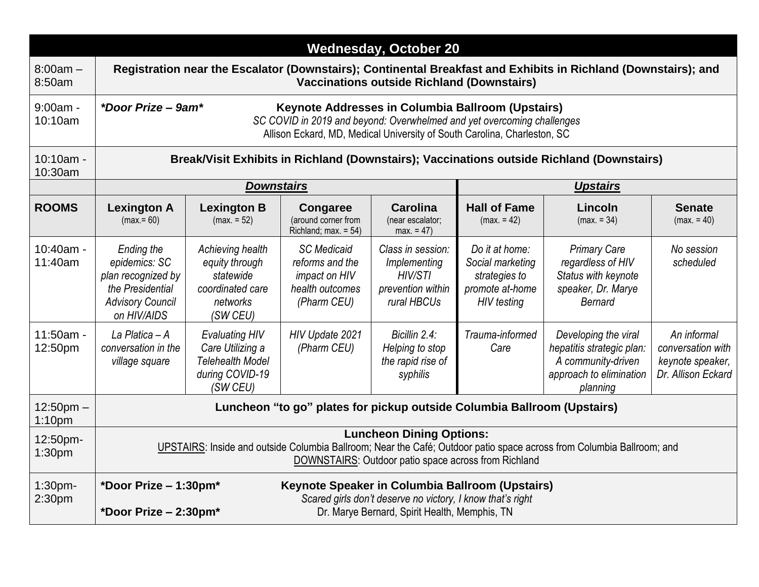| <b>Wednesday, October 20</b>         |                                                                                                                                                                                                                               |                                                                                                     |                                                                                          |                                                                                  |                                                                                              |                                                                                                                |                                                                            |  |
|--------------------------------------|-------------------------------------------------------------------------------------------------------------------------------------------------------------------------------------------------------------------------------|-----------------------------------------------------------------------------------------------------|------------------------------------------------------------------------------------------|----------------------------------------------------------------------------------|----------------------------------------------------------------------------------------------|----------------------------------------------------------------------------------------------------------------|----------------------------------------------------------------------------|--|
| $8:00am -$<br>8:50am                 | Registration near the Escalator (Downstairs); Continental Breakfast and Exhibits in Richland (Downstairs); and<br><b>Vaccinations outside Richland (Downstairs)</b>                                                           |                                                                                                     |                                                                                          |                                                                                  |                                                                                              |                                                                                                                |                                                                            |  |
| $9:00am -$<br>10:10am                | *Door Prize - 9am*<br>Keynote Addresses in Columbia Ballroom (Upstairs)<br>SC COVID in 2019 and beyond: Overwhelmed and yet overcoming challenges<br>Allison Eckard, MD, Medical University of South Carolina, Charleston, SC |                                                                                                     |                                                                                          |                                                                                  |                                                                                              |                                                                                                                |                                                                            |  |
| 10:10am -<br>10:30am                 | Break/Visit Exhibits in Richland (Downstairs); Vaccinations outside Richland (Downstairs)                                                                                                                                     |                                                                                                     |                                                                                          |                                                                                  |                                                                                              |                                                                                                                |                                                                            |  |
|                                      |                                                                                                                                                                                                                               | <b>Downstairs</b>                                                                                   |                                                                                          |                                                                                  | <b>Upstairs</b>                                                                              |                                                                                                                |                                                                            |  |
| <b>ROOMS</b>                         | <b>Lexington A</b><br>$(max = 60)$                                                                                                                                                                                            | <b>Lexington B</b><br>$(max = 52)$                                                                  | <b>Congaree</b><br>(around corner from<br>Richland; max. = 54)                           | <b>Carolina</b><br>(near escalator;<br>$max. = 47$                               | <b>Hall of Fame</b><br>$(max = 42)$                                                          | Lincoln<br>$(max = 34)$                                                                                        | <b>Senate</b><br>$(max = 40)$                                              |  |
| 10:40am -<br>11:40am                 | Ending the<br>epidemics: SC<br>plan recognized by<br>the Presidential<br><b>Advisory Council</b><br>on HIV/AIDS                                                                                                               | Achieving health<br>equity through<br>statewide<br>coordinated care<br>networks<br>(SW CEU)         | <b>SC</b> Medicaid<br>reforms and the<br>impact on HIV<br>health outcomes<br>(Pharm CEU) | Class in session:<br>Implementing<br>HIV/STI<br>prevention within<br>rural HBCUs | Do it at home:<br>Social marketing<br>strategies to<br>promote at-home<br><b>HIV</b> testing | <b>Primary Care</b><br>regardless of HIV<br>Status with keynote<br>speaker, Dr. Marye<br><b>Bernard</b>        | No session<br>scheduled                                                    |  |
| $11:50am -$<br>12:50pm               | La Platica $-A$<br>conversation in the<br>village square                                                                                                                                                                      | <b>Evaluating HIV</b><br>Care Utilizing a<br><b>Telehealth Model</b><br>during COVID-19<br>(SW CEU) | HIV Update 2021<br>(Pharm CEU)                                                           | Bicillin 2.4:<br>Helping to stop<br>the rapid rise of<br>syphilis                | Trauma-informed<br>Care                                                                      | Developing the viral<br>hepatitis strategic plan:<br>A community-driven<br>approach to elimination<br>planning | An informal<br>conversation with<br>keynote speaker,<br>Dr. Allison Eckard |  |
| $12:50$ pm $-$<br>1:10 <sub>pm</sub> | Luncheon "to go" plates for pickup outside Columbia Ballroom (Upstairs)                                                                                                                                                       |                                                                                                     |                                                                                          |                                                                                  |                                                                                              |                                                                                                                |                                                                            |  |
| 12:50pm-<br>1:30pm                   | <b>Luncheon Dining Options:</b><br>UPSTAIRS: Inside and outside Columbia Ballroom; Near the Café; Outdoor patio space across from Columbia Ballroom; and<br>DOWNSTAIRS: Outdoor patio space across from Richland              |                                                                                                     |                                                                                          |                                                                                  |                                                                                              |                                                                                                                |                                                                            |  |
| 1:30pm-<br>2:30 <sub>pm</sub>        | *Door Prize - 1:30pm*<br>Keynote Speaker in Columbia Ballroom (Upstairs)<br>Scared girls don't deserve no victory, I know that's right<br>Dr. Marye Bernard, Spirit Health, Memphis, TN<br>*Door Prize $-2:30$ pm*            |                                                                                                     |                                                                                          |                                                                                  |                                                                                              |                                                                                                                |                                                                            |  |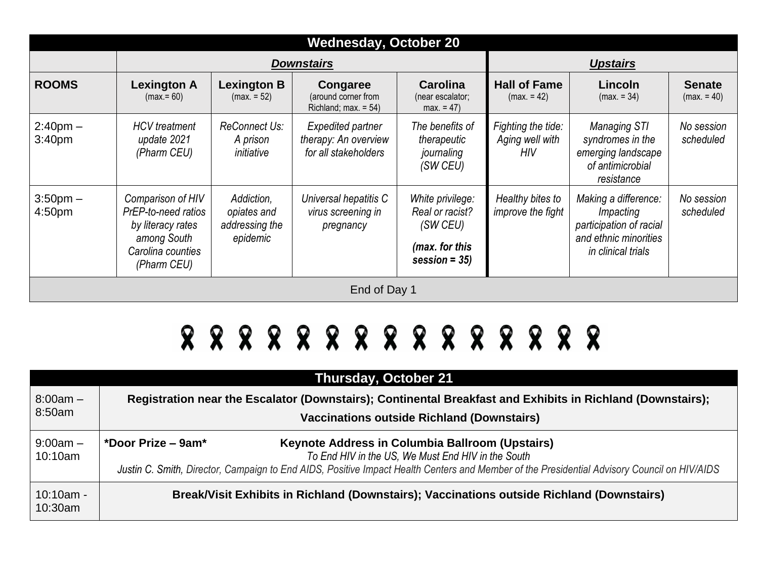| <b>Wednesday, October 20</b>        |                                                                                                                  |                                                         |                                                                   |                                                                                       |                                                     |                                                                                                             |                               |
|-------------------------------------|------------------------------------------------------------------------------------------------------------------|---------------------------------------------------------|-------------------------------------------------------------------|---------------------------------------------------------------------------------------|-----------------------------------------------------|-------------------------------------------------------------------------------------------------------------|-------------------------------|
|                                     |                                                                                                                  | <b>Downstairs</b>                                       | <b>Upstairs</b>                                                   |                                                                                       |                                                     |                                                                                                             |                               |
| <b>ROOMS</b>                        | <b>Lexington A</b><br>$(max = 60)$                                                                               | <b>Lexington B</b><br>$(max = 52)$                      | Congaree<br>(around corner from<br>Richland; max. $= 54$ )        | Carolina<br>(near escalator;<br>$max. = 47$                                           | <b>Hall of Fame</b><br>$(max = 42)$                 | Lincoln<br>$(max = 34)$                                                                                     | <b>Senate</b><br>$(max = 40)$ |
| $2:40$ pm $-$<br>3:40 <sub>pm</sub> | <b>HCV</b> treatment<br>update 2021<br>(Pharm CEU)                                                               | <b>ReConnect Us:</b><br>A prison<br>initiative          | Expedited partner<br>therapy: An overview<br>for all stakeholders | The benefits of<br>therapeutic<br>journaling<br>(SW CEU)                              | Fighting the tide:<br>Aging well with<br><b>HIV</b> | <b>Managing STI</b><br>syndromes in the<br>emerging landscape<br>of antimicrobial<br>resistance             | No session<br>scheduled       |
| $3:50$ pm $-$<br>4:50pm             | Comparison of HIV<br>PrEP-to-need ratios<br>by literacy rates<br>among South<br>Carolina counties<br>(Pharm CEU) | Addiction,<br>opiates and<br>addressing the<br>epidemic | Universal hepatitis C<br>virus screening in<br>pregnancy          | White privilege:<br>Real or racist?<br>(SW CEU)<br>(max. for this<br>session = $35$ ) | Healthy bites to<br>improve the fight               | Making a difference:<br>Impacting<br>participation of racial<br>and ethnic minorities<br>in clinical trials | No session<br>scheduled       |
| End of Day 1                        |                                                                                                                  |                                                         |                                                                   |                                                                                       |                                                     |                                                                                                             |                               |

# 8 8 8 8 8 8 8 8 8 8 8 8 8 8 8

| <b>Thursday, October 21</b> |                                                                                                                                                                                                                                                                              |  |  |  |  |  |  |
|-----------------------------|------------------------------------------------------------------------------------------------------------------------------------------------------------------------------------------------------------------------------------------------------------------------------|--|--|--|--|--|--|
| $8:00am -$<br>8:50am        | Registration near the Escalator (Downstairs); Continental Breakfast and Exhibits in Richland (Downstairs);<br><b>Vaccinations outside Richland (Downstairs)</b>                                                                                                              |  |  |  |  |  |  |
| $9:00am -$<br>10:10am       | *Door Prize $-$ 9am*<br>Keynote Address in Columbia Ballroom (Upstairs)<br>To End HIV in the US, We Must End HIV in the South<br>Justin C. Smith, Director, Campaign to End AIDS, Positive Impact Health Centers and Member of the Presidential Advisory Council on HIV/AIDS |  |  |  |  |  |  |
| $10:10am -$<br>10:30am      | Break/Visit Exhibits in Richland (Downstairs); Vaccinations outside Richland (Downstairs)                                                                                                                                                                                    |  |  |  |  |  |  |